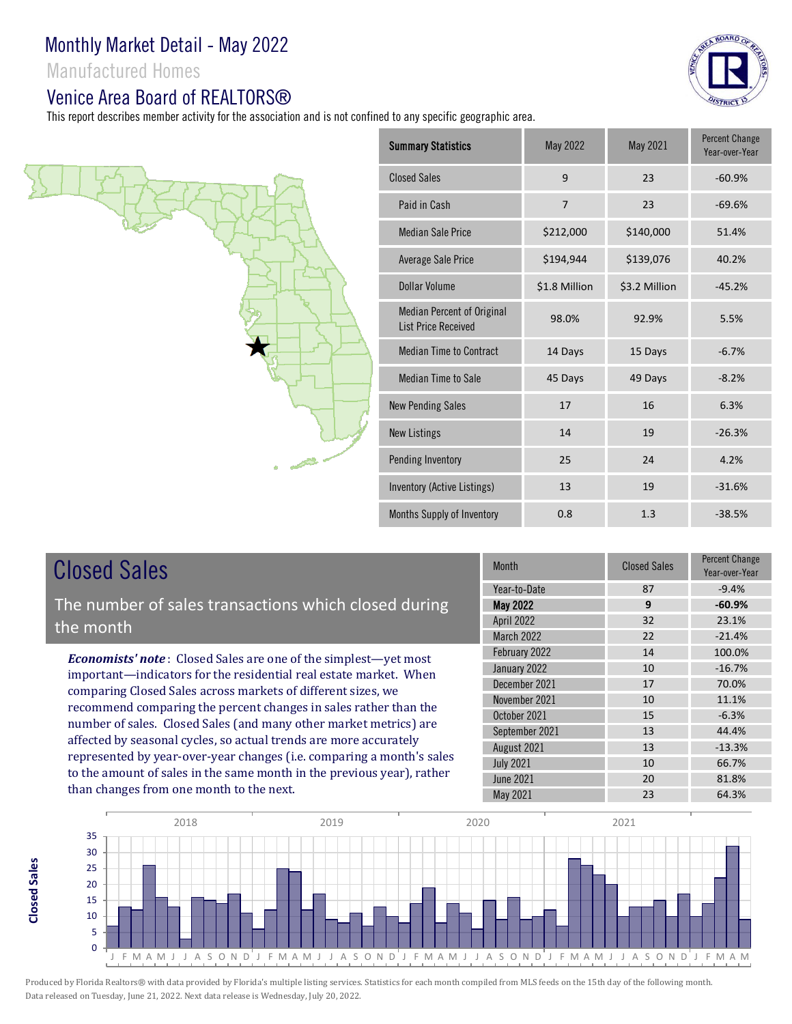Manufactured Homes

## Venice Area Board of REALTORS®

This report describes member activity for the association and is not confined to any specific geographic area.





# Closed Sales

**Closed SalesClosed Sales**  The number of sales transactions which closed during the month

*Economists' note* : Closed Sales are one of the simplest—yet most important—indicators for the residential real estate market. When comparing Closed Sales across markets of different sizes, we recommend comparing the percent changes in sales rather than the number of sales. Closed Sales (and many other market metrics) are affected by seasonal cycles, so actual trends are more accurately represented by year-over-year changes (i.e. comparing a month's sales to the amount of sales in the same month in the previous year), rather than changes from one month to the next.

| <b>Month</b>      | <b>Closed Sales</b> | Percent Change<br>Year-over-Year |
|-------------------|---------------------|----------------------------------|
| Year-to-Date      | 87                  | $-9.4%$                          |
| <b>May 2022</b>   | 9                   | $-60.9%$                         |
| <b>April 2022</b> | 32                  | 23.1%                            |
| March 2022        | 22                  | $-21.4%$                         |
| February 2022     | 14                  | 100.0%                           |
| January 2022      | 10                  | $-16.7%$                         |
| December 2021     | 17                  | 70.0%                            |
| November 2021     | 10                  | 11.1%                            |
| October 2021      | 15                  | $-6.3%$                          |
| September 2021    | 13                  | 44.4%                            |
| August 2021       | 13                  | $-13.3%$                         |
| <b>July 2021</b>  | 10                  | 66.7%                            |
| <b>June 2021</b>  | 20                  | 81.8%                            |
| <b>May 2021</b>   | 23                  | 64.3%                            |



Produced by Florida Realtors® with data provided by Florida's multiple listing services. Statistics for each month compiled from MLS feeds on the 15th day of the following month. Data released on Tuesday, June 21, 2022. Next data release is Wednesday, July 20, 2022.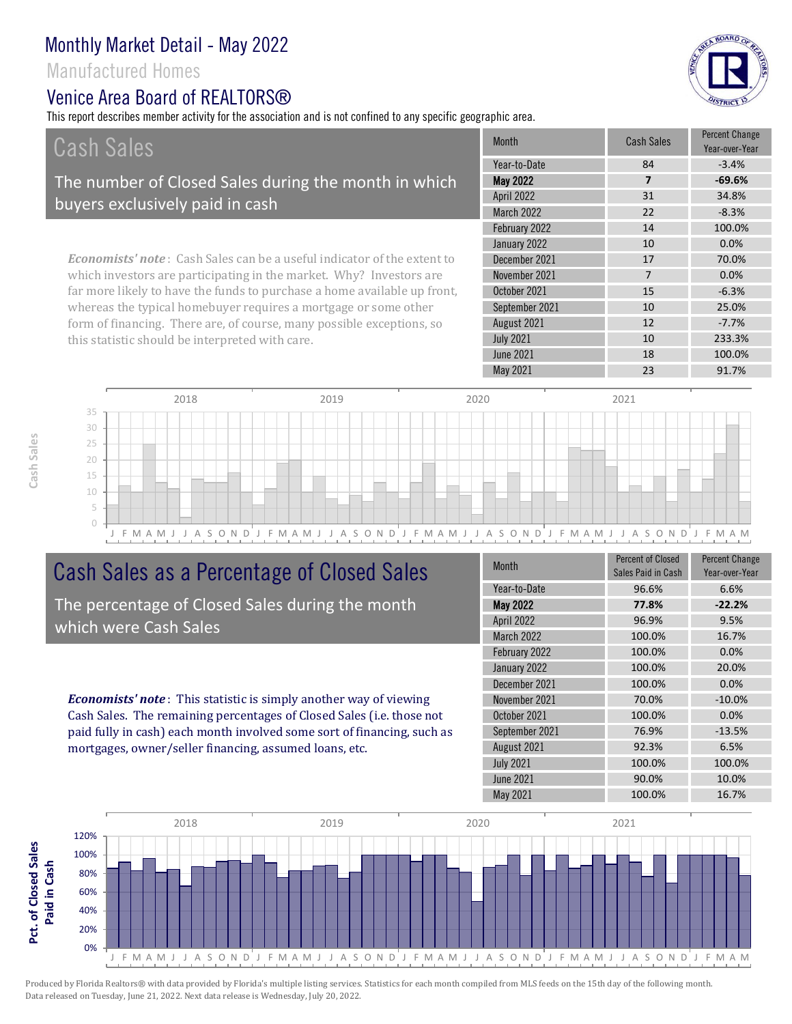## Manufactured Homes

# Venice Area Board of REALTORS®

this statistic should be interpreted with care.

This report describes member activity for the association and is not confined to any specific geographic area.



10 233.3%

| Cash Sales                                                                     | <b>Month</b>      | <b>Cash Sales</b> | <b>Percent Change</b><br>Year-over-Year |
|--------------------------------------------------------------------------------|-------------------|-------------------|-----------------------------------------|
|                                                                                | Year-to-Date      | 84                | $-3.4%$                                 |
| The number of Closed Sales during the month in which                           | <b>May 2022</b>   | 7                 | $-69.6%$                                |
| buyers exclusively paid in cash                                                | <b>April 2022</b> | 31                | 34.8%                                   |
|                                                                                | <b>March 2022</b> | 22                | $-8.3%$                                 |
|                                                                                | February 2022     | 14                | 100.0%                                  |
|                                                                                | January 2022      | 10                | 0.0%                                    |
| <b>Economists' note:</b> Cash Sales can be a useful indicator of the extent to | December 2021     | 17                | 70.0%                                   |
| which investors are participating in the market. Why? Investors are            | November 2021     |                   | 0.0%                                    |
| far more likely to have the funds to purchase a home available up front,       | October 2021      | 15                | $-6.3%$                                 |
| whereas the typical homebuyer requires a mortgage or some other                | September 2021    | 10                | 25.0%                                   |
| form of financing. There are, of course, many possible exceptions, so          | August 2021       | 12                | $-7.7%$                                 |



# Cash Sales as a Percentage of Closed Sales

The percentage of Closed Sales during the month which were Cash Sales

*Economists' note* : This statistic is simply another way of viewing Cash Sales. The remaining percentages of Closed Sales (i.e. those not paid fully in cash) each month involved some sort of financing, such as mortgages, owner/seller financing, assumed loans, etc.

| <b>Month</b>     | <b>Percent of Closed</b><br>Sales Paid in Cash | <b>Percent Change</b><br>Year-over-Year |
|------------------|------------------------------------------------|-----------------------------------------|
| Year-to-Date     | 96.6%                                          | 6.6%                                    |
| <b>May 2022</b>  | 77.8%                                          | $-22.2%$                                |
| April 2022       | 96.9%                                          | 9.5%                                    |
| March 2022       | 100.0%                                         | 16.7%                                   |
| February 2022    | 100.0%                                         | 0.0%                                    |
| January 2022     | 100.0%                                         | 20.0%                                   |
| December 2021    | 100.0%                                         | 0.0%                                    |
| November 2021    | 70.0%                                          | $-10.0%$                                |
| October 2021     | 100.0%                                         | 0.0%                                    |
| September 2021   | 76.9%                                          | $-13.5%$                                |
| August 2021      | 92.3%                                          | 6.5%                                    |
| <b>July 2021</b> | 100.0%                                         | 100.0%                                  |
| June 2021        | 90.0%                                          | 10.0%                                   |
| May 2021         | 100.0%                                         | 16.7%                                   |

June 2021 18 100.0%

July 2021

May 2021 23 91.7%



Pct. of Closed Sales **Pct. of Closed Sales**  Produced by Florida Realtors® with data provided by Florida's multiple listing services. Statistics for each month compiled from MLS feeds on the 15th day of the following month. Data released on Tuesday, June 21, 2022. Next data release is Wednesday, July 20, 2022.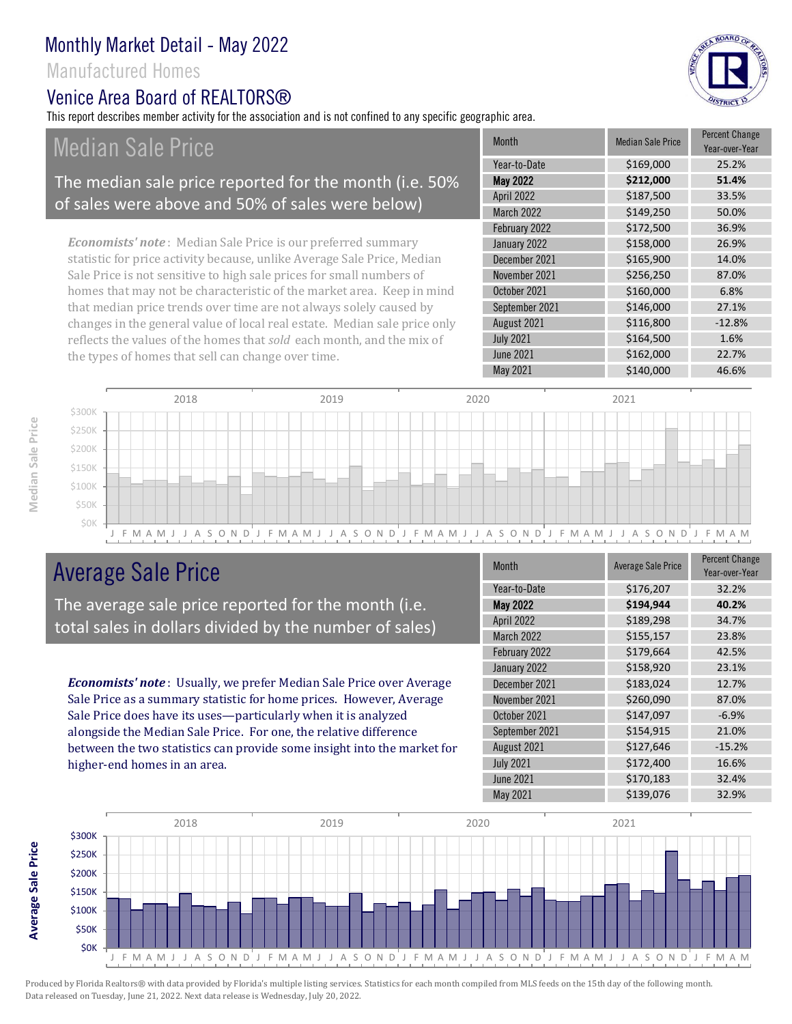## Manufactured Homes

#### Venice Area Board of RFAI TORS®

This report describes member activity for the association and is not confined to any specific geographic area.

# Median Sale Price

#### The median sale price reported for the month (i.e. 50% of sales were above and 50% of sales were below)

*Economists' note* : Median Sale Price is our preferred summary statistic for price activity because, unlike Average Sale Price, Median Sale Price is not sensitive to high sale prices for small numbers of homes that may not be characteristic of the market area. Keep in mind that median price trends over time are not always solely caused by changes in the general value of local real estate. Median sale price only reflects the values of the homes that *sold* each month, and the mix of the types of homes that sell can change over time.

| <b>Month</b>     | <b>Median Sale Price</b> | <b>Percent Change</b><br>Year-over-Year |
|------------------|--------------------------|-----------------------------------------|
| Year-to-Date     | \$169,000                | 25.2%                                   |
| <b>May 2022</b>  | \$212,000                | 51.4%                                   |
| April 2022       | \$187,500                | 33.5%                                   |
| March 2022       | \$149,250                | 50.0%                                   |
| February 2022    | \$172,500                | 36.9%                                   |
| January 2022     | \$158,000                | 26.9%                                   |
| December 2021    | \$165,900                | 14.0%                                   |
| November 2021    | \$256,250                | 87.0%                                   |
| October 2021     | \$160,000                | 6.8%                                    |
| September 2021   | \$146,000                | 27.1%                                   |
| August 2021      | \$116,800                | $-12.8%$                                |
| <b>July 2021</b> | \$164,500                | 1.6%                                    |
| <b>June 2021</b> | \$162,000                | 22.7%                                   |
| May 2021         | \$140,000                | 46.6%                                   |



# Average Sale Price

The average sale price reported for the month (i.e. total sales in dollars divided by the number of sales)

*Economists' note* : Usually, we prefer Median Sale Price over Average Sale Price as a summary statistic for home prices. However, Average Sale Price does have its uses—particularly when it is analyzed alongside the Median Sale Price. For one, the relative difference between the two statistics can provide some insight into the market for higher-end homes in an area.

| <b>Month</b>     | <b>Average Sale Price</b> | <b>Percent Change</b><br>Year-over-Year |
|------------------|---------------------------|-----------------------------------------|
| Year-to-Date     | \$176,207                 | 32.2%                                   |
| <b>May 2022</b>  | \$194,944                 | 40.2%                                   |
| April 2022       | \$189,298                 | 34.7%                                   |
| March 2022       | \$155,157                 | 23.8%                                   |
| February 2022    | \$179,664                 | 42.5%                                   |
| January 2022     | \$158,920                 | 23.1%                                   |
| December 2021    | \$183,024                 | 12.7%                                   |
| November 2021    | \$260,090                 | 87.0%                                   |
| October 2021     | \$147,097                 | $-6.9%$                                 |
| September 2021   | \$154,915                 | 21.0%                                   |
| August 2021      | \$127,646                 | $-15.2%$                                |
| <b>July 2021</b> | \$172,400                 | 16.6%                                   |
| <b>June 2021</b> | \$170,183                 | 32.4%                                   |
| May 2021         | \$139,076                 | 32.9%                                   |





**Average Sale Price**

Average Sale Price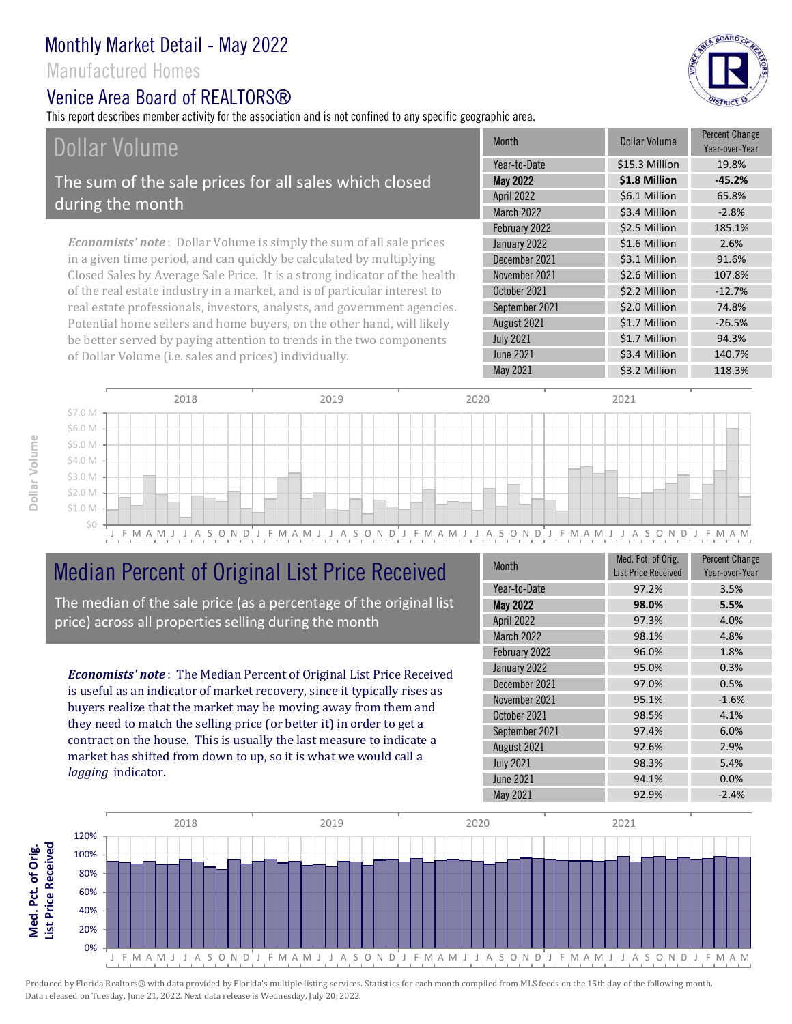## Manufactured Homes

#### Venice Area Board of RFAI TORS®

This report describes member activity for the association and is not confined to any specific geographic area.

# Dollar Volume

The sum of the sale prices for all sales which closed during the month

*Economists' note* : Dollar Volume is simply the sum of all sale prices in a given time period, and can quickly be calculated by multiplying Closed Sales by Average Sale Price. It is a strong indicator of the health of the real estate industry in a market, and is of particular interest to real estate professionals, investors, analysts, and government agencies. Potential home sellers and home buyers, on the other hand, will likely be better served by paying attention to trends in the two components of Dollar Volume (i.e. sales and prices) individually.

| <b>Month</b>      | Dollar Volume  | <b>Percent Change</b><br>Year-over-Year |
|-------------------|----------------|-----------------------------------------|
| Year-to-Date      | \$15.3 Million | 19.8%                                   |
| <b>May 2022</b>   | \$1.8 Million  | $-45.2%$                                |
| April 2022        | \$6.1 Million  | 65.8%                                   |
| <b>March 2022</b> | \$3.4 Million  | $-2.8%$                                 |
| February 2022     | \$2.5 Million  | 185.1%                                  |
| January 2022      | \$1.6 Million  | 2.6%                                    |
| December 2021     | \$3.1 Million  | 91.6%                                   |
| November 2021     | \$2.6 Million  | 107.8%                                  |
| October 2021      | \$2.2 Million  | $-12.7%$                                |
| September 2021    | \$2.0 Million  | 74.8%                                   |
| August 2021       | \$1.7 Million  | $-26.5%$                                |
| <b>July 2021</b>  | \$1.7 Million  | 94.3%                                   |
| <b>June 2021</b>  | \$3.4 Million  | 140.7%                                  |
| <b>May 2021</b>   | \$3.2 Million  | 118.3%                                  |
|                   |                |                                         |



# Median Percent of Original List Price Received

The median of the sale price (as a percentage of the original list price) across all properties selling during the month

*Economists' note* : The Median Percent of Original List Price Received is useful as an indicator of market recovery, since it typically rises as buyers realize that the market may be moving away from them and they need to match the selling price (or better it) in order to get a contract on the house. This is usually the last measure to indicate a market has shifted from down to up, so it is what we would call a *lagging* indicator.

| <b>Month</b>     | Med. Pct. of Orig.<br><b>List Price Received</b> | <b>Percent Change</b><br>Year-over-Year |
|------------------|--------------------------------------------------|-----------------------------------------|
| Year-to-Date     | 97.2%                                            | 3.5%                                    |
| <b>May 2022</b>  | 98.0%                                            | 5.5%                                    |
| April 2022       | 97.3%                                            | 4.0%                                    |
| March 2022       | 98.1%                                            | 4.8%                                    |
| February 2022    | 96.0%                                            | 1.8%                                    |
| January 2022     | 95.0%                                            | 0.3%                                    |
| December 2021    | 97.0%                                            | 0.5%                                    |
| November 2021    | 95.1%                                            | $-1.6%$                                 |
| October 2021     | 98.5%                                            | 4.1%                                    |
| September 2021   | 97.4%                                            | 6.0%                                    |
| August 2021      | 92.6%                                            | 2.9%                                    |
| <b>July 2021</b> | 98.3%                                            | 5.4%                                    |
| <b>June 2021</b> | 94.1%                                            | 0.0%                                    |
| May 2021         | 92.9%                                            | $-2.4%$                                 |





**Med. Pct. of Orig.**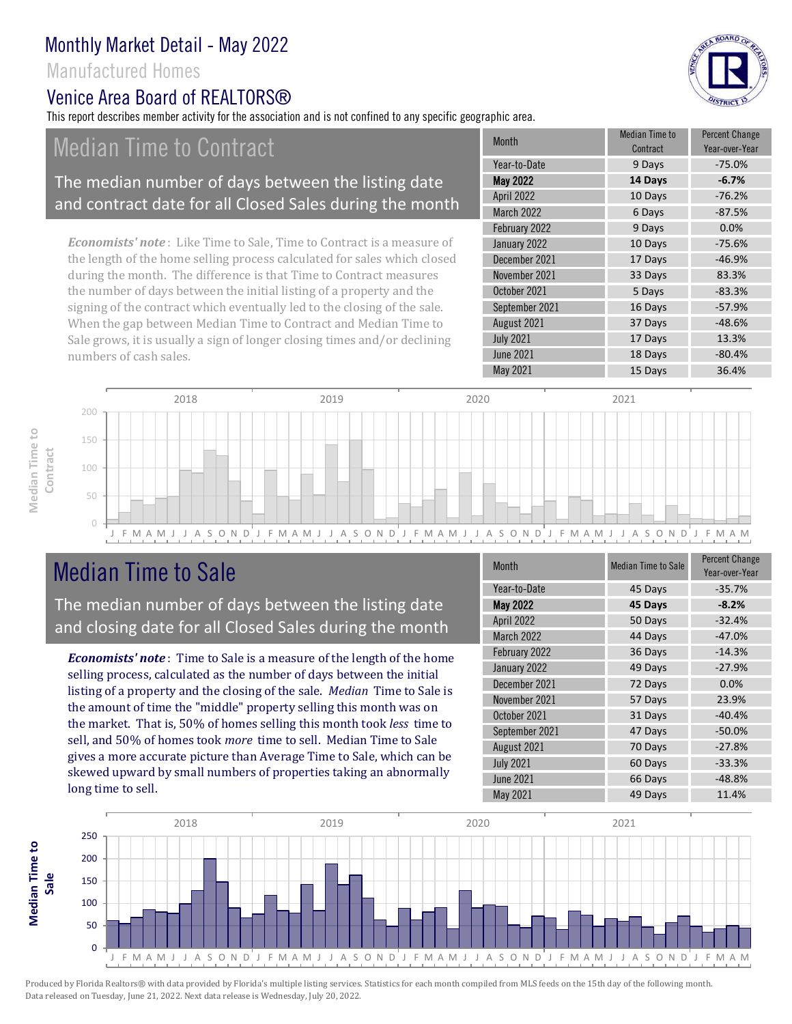## Manufactured Homes

# Venice Area Board of RFAI TORS®

This report describes member activity for the association and is not confined to any specific geographic area.

# Median Time to Contract

#### The median number of days between the listing date and contract date for all Closed Sales during the month

*Economists' note* : Like Time to Sale, Time to Contract is a measure of the length of the home selling process calculated for sales which closed during the month. The difference is that Time to Contract measures the number of days between the initial listing of a property and the signing of the contract which eventually led to the closing of the sale. When the gap between Median Time to Contract and Median Time to Sale grows, it is usually a sign of longer closing times and/or declining numbers of cash sales.

| <b>Month</b>      | Median Time to<br>Contract | <b>Percent Change</b><br>Year-over-Year |
|-------------------|----------------------------|-----------------------------------------|
| Year-to-Date      | 9 Days                     | $-75.0%$                                |
| <b>May 2022</b>   | 14 Days                    | $-6.7%$                                 |
| April 2022        | 10 Days                    | $-76.2%$                                |
| <b>March 2022</b> | 6 Days                     | $-87.5%$                                |
| February 2022     | 9 Days                     | 0.0%                                    |
| January 2022      | 10 Days                    | $-75.6%$                                |
| December 2021     | 17 Days                    | $-46.9%$                                |
| November 2021     | 33 Days                    | 83.3%                                   |
| October 2021      | 5 Days                     | $-83.3%$                                |
| September 2021    | 16 Days                    | $-57.9%$                                |
| August 2021       | 37 Days                    | $-48.6%$                                |
| <b>July 2021</b>  | 17 Days                    | 13.3%                                   |
| <b>June 2021</b>  | 18 Days                    | $-80.4%$                                |
| May 2021          | 15 Days                    | 36.4%                                   |



# Median Time to Sale

**Median Time to Contract**

Median Time to

The median number of days between the listing date and closing date for all Closed Sales during the month

*Economists' note* : Time to Sale is a measure of the length of the home selling process, calculated as the number of days between the initial listing of a property and the closing of the sale. *Median* Time to Sale is the amount of time the "middle" property selling this month was on the market. That is, 50% of homes selling this month took *less* time to sell, and 50% of homes took *more* time to sell. Median Time to Sale gives a more accurate picture than Average Time to Sale, which can be skewed upward by small numbers of properties taking an abnormally long time to sell.

| Month             | <b>Median Time to Sale</b> | <b>Percent Change</b><br>Year-over-Year |
|-------------------|----------------------------|-----------------------------------------|
| Year-to-Date      | 45 Days                    | $-35.7%$                                |
| <b>May 2022</b>   | 45 Days                    | $-8.2%$                                 |
| April 2022        | 50 Days                    | $-32.4%$                                |
| <b>March 2022</b> | 44 Days                    | $-47.0%$                                |
| February 2022     | 36 Days                    | $-14.3%$                                |
| January 2022      | 49 Days                    | $-27.9%$                                |
| December 2021     | 72 Days                    | 0.0%                                    |
| November 2021     | 57 Days                    | 23.9%                                   |
| October 2021      | 31 Days                    | $-40.4%$                                |
| September 2021    | 47 Days                    | $-50.0%$                                |
| August 2021       | 70 Days                    | $-27.8%$                                |
| <b>July 2021</b>  | 60 Days                    | $-33.3%$                                |
| <b>June 2021</b>  | 66 Days                    | $-48.8%$                                |
| May 2021          | 49 Days                    | 11.4%                                   |



Produced by Florida Realtors® with data provided by Florida's multiple listing services. Statistics for each month compiled from MLS feeds on the 15th day of the following month. Data released on Tuesday, June 21, 2022. Next data release is Wednesday, July 20, 2022.

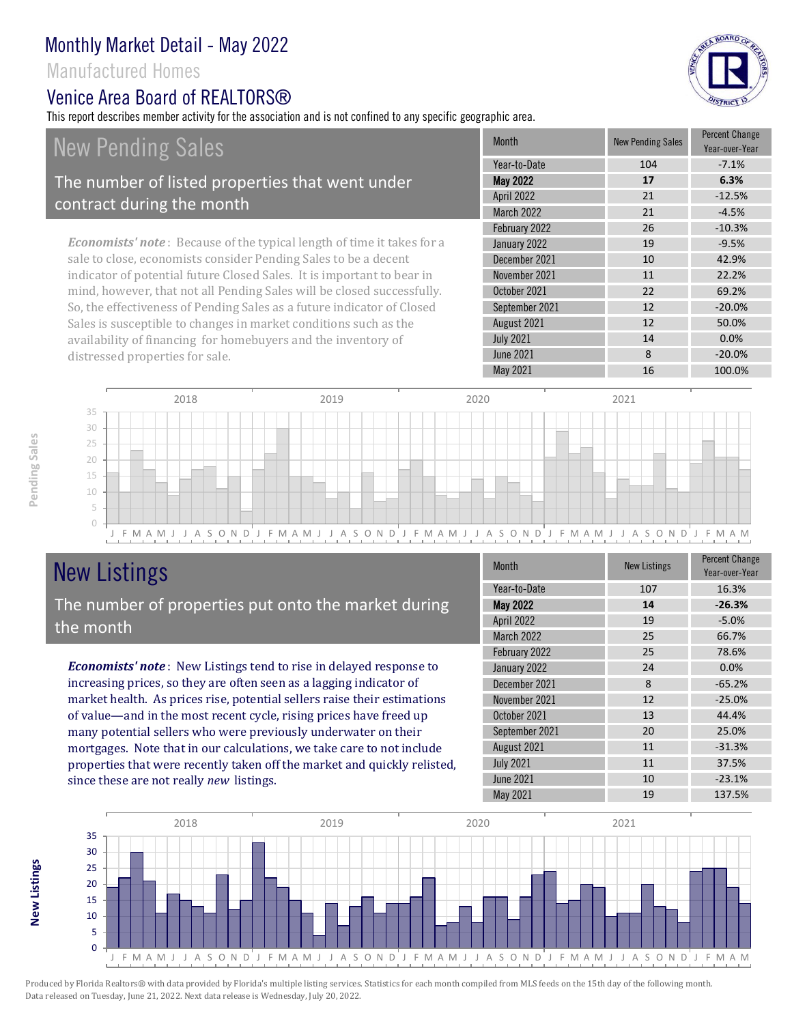## Manufactured Homes

#### Venice Area Board of REALTORS®

This report describes member activity for the association and is not confined to any specific geographic area.



# New Pending Sales

#### The number of listed properties that went under contract during the month

*Economists' note* : Because of the typical length of time it takes for a sale to close, economists consider Pending Sales to be a decent indicator of potential future Closed Sales. It is important to bear in mind, however, that not all Pending Sales will be closed successfully. So, the effectiveness of Pending Sales as a future indicator of Closed Sales is susceptible to changes in market conditions such as the availability of financing for homebuyers and the inventory of distressed properties for sale.

|  | <b>Month</b>      | <b>New Pending Sales</b> | <b>Percent Change</b><br>Year-over-Year |
|--|-------------------|--------------------------|-----------------------------------------|
|  | Year-to-Date      | 104                      | $-7.1%$                                 |
|  | <b>May 2022</b>   | 17                       | 6.3%                                    |
|  | <b>April 2022</b> | 21                       | $-12.5%$                                |
|  | <b>March 2022</b> | 21                       | $-4.5%$                                 |
|  | February 2022     | 26                       | $-10.3%$                                |
|  | January 2022      | 19                       | $-9.5%$                                 |
|  | December 2021     | 10                       | 42.9%                                   |
|  | November 2021     | 11                       | 22.2%                                   |
|  | October 2021      | 22                       | 69.2%                                   |
|  | September 2021    | 12                       | $-20.0%$                                |
|  | August 2021       | 12                       | 50.0%                                   |
|  | <b>July 2021</b>  | 14                       | 0.0%                                    |
|  | <b>June 2021</b>  | 8                        | $-20.0%$                                |
|  | <b>May 2021</b>   | 16                       | 100.0%                                  |



# New Listings

#### The number of properties put onto the market during the month

*Economists' note* : New Listings tend to rise in delayed response to increasing prices, so they are often seen as a lagging indicator of market health. As prices rise, potential sellers raise their estimations of value—and in the most recent cycle, rising prices have freed up many potential sellers who were previously underwater on their mortgages. Note that in our calculations, we take care to not include properties that were recently taken off the market and quickly relisted, since these are not really *new* listings.

| Month            | <b>New Listings</b> | <b>Percent Change</b><br>Year-over-Year |
|------------------|---------------------|-----------------------------------------|
| Year-to-Date     | 107                 | 16.3%                                   |
| <b>May 2022</b>  | 14                  | $-26.3%$                                |
| April 2022       | 19                  | $-5.0%$                                 |
| March 2022       | 25                  | 66.7%                                   |
| February 2022    | 25                  | 78.6%                                   |
| January 2022     | 24                  | 0.0%                                    |
| December 2021    | 8                   | $-65.2%$                                |
| November 2021    | 12                  | $-25.0%$                                |
| October 2021     | 13                  | 44.4%                                   |
| September 2021   | 20                  | 25.0%                                   |
| August 2021      | 11                  | $-31.3%$                                |
| <b>July 2021</b> | 11                  | 37.5%                                   |
| <b>June 2021</b> | 10                  | $-23.1%$                                |
| May 2021         | 19                  | 137.5%                                  |



**New Listings**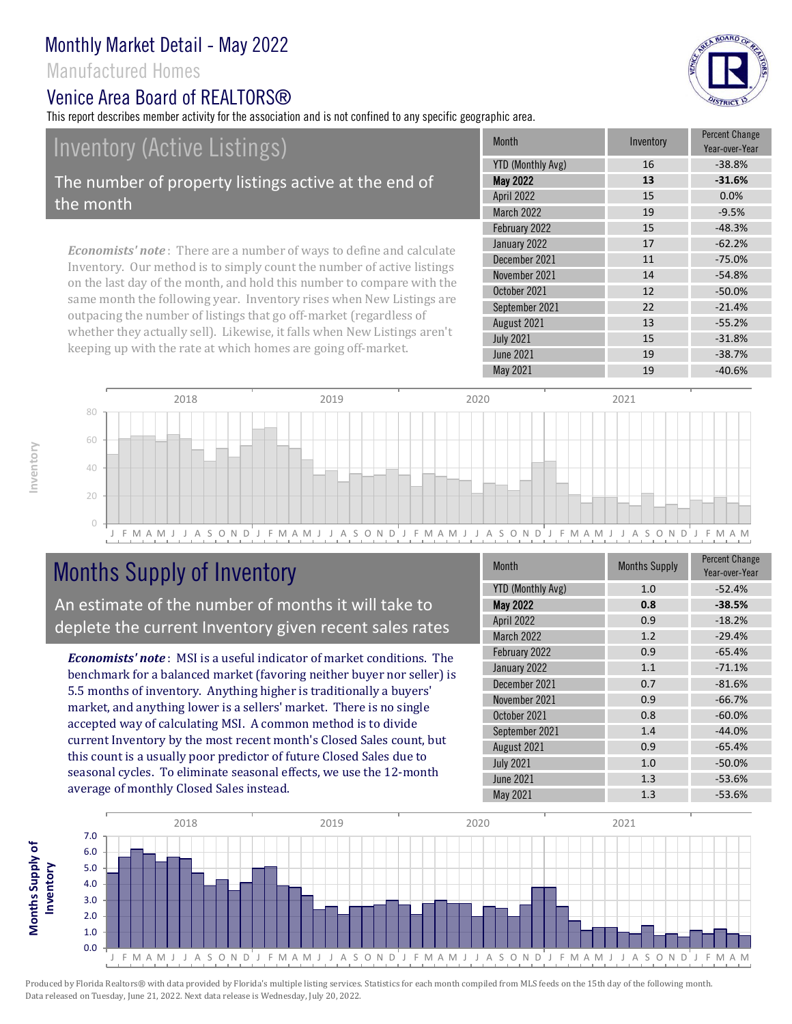## Manufactured Homes

#### Venice Area Board of REALTORS®

This report describes member activity for the association and is not confined to any specific geographic area.

# Inventory (Active Listings)

The number of property listings active at the end of the month

*Economists' note* : There are a number of ways to define and calculate Inventory. Our method is to simply count the number of active listings on the last day of the month, and hold this number to compare with the same month the following year. Inventory rises when New Listings are outpacing the number of listings that go off-market (regardless of whether they actually sell). Likewise, it falls when New Listings aren't keeping up with the rate at which homes are going off-market.

| YTD (Monthly Avg)<br>16<br>$-38.8%$<br>May 2022<br>13<br>$-31.6%$<br>April 2022<br>0.0%<br>15<br><b>March 2022</b><br>19<br>$-9.5%$<br>February 2022<br>$-48.3%$<br>15<br>$-62.2%$<br>January 2022<br>17<br>December 2021<br>11<br>$-75.0%$<br>November 2021<br>14<br>$-54.8%$<br>12<br>$-50.0%$<br>October 2021<br>September 2021<br>22<br>$-21.4%$<br>August 2021<br>13<br>$-55.2%$<br>15<br>$-31.8%$<br><b>July 2021</b><br><b>June 2021</b><br>19<br>$-38.7%$<br>May 2021<br>19<br>$-40.6%$ |  | <b>Month</b> | Inventory | <b>Percent Change</b><br>Year-over-Year |
|-------------------------------------------------------------------------------------------------------------------------------------------------------------------------------------------------------------------------------------------------------------------------------------------------------------------------------------------------------------------------------------------------------------------------------------------------------------------------------------------------|--|--------------|-----------|-----------------------------------------|
|                                                                                                                                                                                                                                                                                                                                                                                                                                                                                                 |  |              |           |                                         |
|                                                                                                                                                                                                                                                                                                                                                                                                                                                                                                 |  |              |           |                                         |
|                                                                                                                                                                                                                                                                                                                                                                                                                                                                                                 |  |              |           |                                         |
|                                                                                                                                                                                                                                                                                                                                                                                                                                                                                                 |  |              |           |                                         |
|                                                                                                                                                                                                                                                                                                                                                                                                                                                                                                 |  |              |           |                                         |
|                                                                                                                                                                                                                                                                                                                                                                                                                                                                                                 |  |              |           |                                         |
|                                                                                                                                                                                                                                                                                                                                                                                                                                                                                                 |  |              |           |                                         |
|                                                                                                                                                                                                                                                                                                                                                                                                                                                                                                 |  |              |           |                                         |
|                                                                                                                                                                                                                                                                                                                                                                                                                                                                                                 |  |              |           |                                         |
|                                                                                                                                                                                                                                                                                                                                                                                                                                                                                                 |  |              |           |                                         |
|                                                                                                                                                                                                                                                                                                                                                                                                                                                                                                 |  |              |           |                                         |
|                                                                                                                                                                                                                                                                                                                                                                                                                                                                                                 |  |              |           |                                         |
|                                                                                                                                                                                                                                                                                                                                                                                                                                                                                                 |  |              |           |                                         |
|                                                                                                                                                                                                                                                                                                                                                                                                                                                                                                 |  |              |           |                                         |



# Months Supply of Inventory

An estimate of the number of months it will take to deplete the current Inventory given recent sales rates

*Economists' note* : MSI is a useful indicator of market conditions. The benchmark for a balanced market (favoring neither buyer nor seller) is 5.5 months of inventory. Anything higher is traditionally a buyers' market, and anything lower is a sellers' market. There is no single accepted way of calculating MSI. A common method is to divide current Inventory by the most recent month's Closed Sales count, but this count is a usually poor predictor of future Closed Sales due to seasonal cycles. To eliminate seasonal effects, we use the 12-month average of monthly Closed Sales instead.

| Month                    | <b>Months Supply</b> | <b>Percent Change</b><br>Year-over-Year |
|--------------------------|----------------------|-----------------------------------------|
| <b>YTD (Monthly Avg)</b> | 1.0                  | $-52.4%$                                |
| <b>May 2022</b>          | 0.8                  | $-38.5%$                                |
| April 2022               | 0.9                  | $-18.2%$                                |
| March 2022               | 1.2                  | $-29.4%$                                |
| February 2022            | 0.9                  | $-65.4%$                                |
| January 2022             | 1.1                  | $-71.1%$                                |
| December 2021            | 0.7                  | $-81.6%$                                |
| November 2021            | 0.9                  | $-66.7%$                                |
| October 2021             | 0.8                  | $-60.0%$                                |
| September 2021           | 1.4                  | $-44.0%$                                |
| August 2021              | 0.9                  | $-65.4%$                                |
| <b>July 2021</b>         | 1.0                  | $-50.0%$                                |
| <b>June 2021</b>         | 1.3                  | $-53.6%$                                |
| May 2021                 | 1.3                  | $-53.6%$                                |



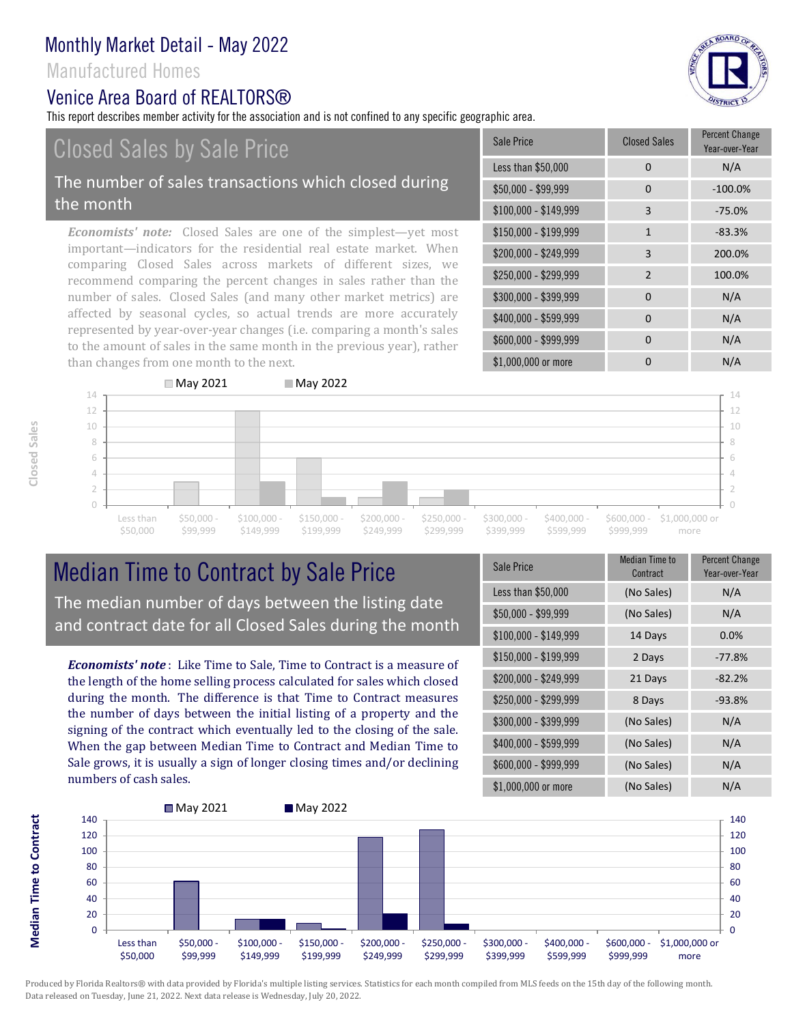#### Manufactured Homes

#### Venice Area Board of REALTORS®

This report describes member activity for the association and is not confined to any specific geographic area.

# Closed Sales by Sale Price

#### The number of sales transactions which closed during the month

*Economists' note:* Closed Sales are one of the simplest—yet most important—indicators for the residential real estate market. When comparing Closed Sales across markets of different sizes, we recommend comparing the percent changes in sales rather than the number of sales. Closed Sales (and many other market metrics) are affected by seasonal cycles, so actual trends are more accurately represented by year-over-year changes (i.e. comparing a month's sales to the amount of sales in the same month in the previous year), rather than changes from one month to the next.

| Sale Price            | <b>Closed Sales</b> | <b>Percent Change</b><br>Year-over-Year |
|-----------------------|---------------------|-----------------------------------------|
| Less than \$50,000    | 0                   | N/A                                     |
| $$50,000 - $99,999$   | 0                   | $-100.0%$                               |
| $$100,000 - $149,999$ | 3                   | $-75.0%$                                |
| $$150,000 - $199,999$ | $\mathbf{1}$        | $-83.3%$                                |
| \$200,000 - \$249,999 | 3                   | 200.0%                                  |
| \$250,000 - \$299,999 | $\overline{2}$      | 100.0%                                  |
| \$300,000 - \$399,999 | 0                   | N/A                                     |
| \$400,000 - \$599,999 | 0                   | N/A                                     |
| \$600,000 - \$999,999 | 0                   | N/A                                     |
| \$1,000,000 or more   | ი                   | N/A                                     |



# Median Time to Contract by Sale Price The median number of days between the listing date and contract date for all Closed Sales during the month

*Economists' note* : Like Time to Sale, Time to Contract is a measure of the length of the home selling process calculated for sales which closed during the month. The difference is that Time to Contract measures the number of days between the initial listing of a property and the signing of the contract which eventually led to the closing of the sale. When the gap between Median Time to Contract and Median Time to Sale grows, it is usually a sign of longer closing times and/or declining numbers of cash sales.

| Sale Price            | <b>Median Time to</b><br>Contract | <b>Percent Change</b><br>Year-over-Year |
|-----------------------|-----------------------------------|-----------------------------------------|
| Less than \$50,000    | (No Sales)                        | N/A                                     |
| \$50,000 - \$99,999   | (No Sales)                        | N/A                                     |
| $$100,000 - $149,999$ | 14 Days                           | 0.0%                                    |
| $$150,000 - $199,999$ | 2 Days                            | $-77.8%$                                |
| \$200,000 - \$249,999 | 21 Days                           | $-82.2%$                                |
| \$250,000 - \$299,999 | 8 Days                            | $-93.8%$                                |
| \$300,000 - \$399,999 | (No Sales)                        | N/A                                     |
| \$400,000 - \$599,999 | (No Sales)                        | N/A                                     |
| \$600,000 - \$999,999 | (No Sales)                        | N/A                                     |
| \$1,000,000 or more   | (No Sales)                        | N/A                                     |



**Closed Sales**

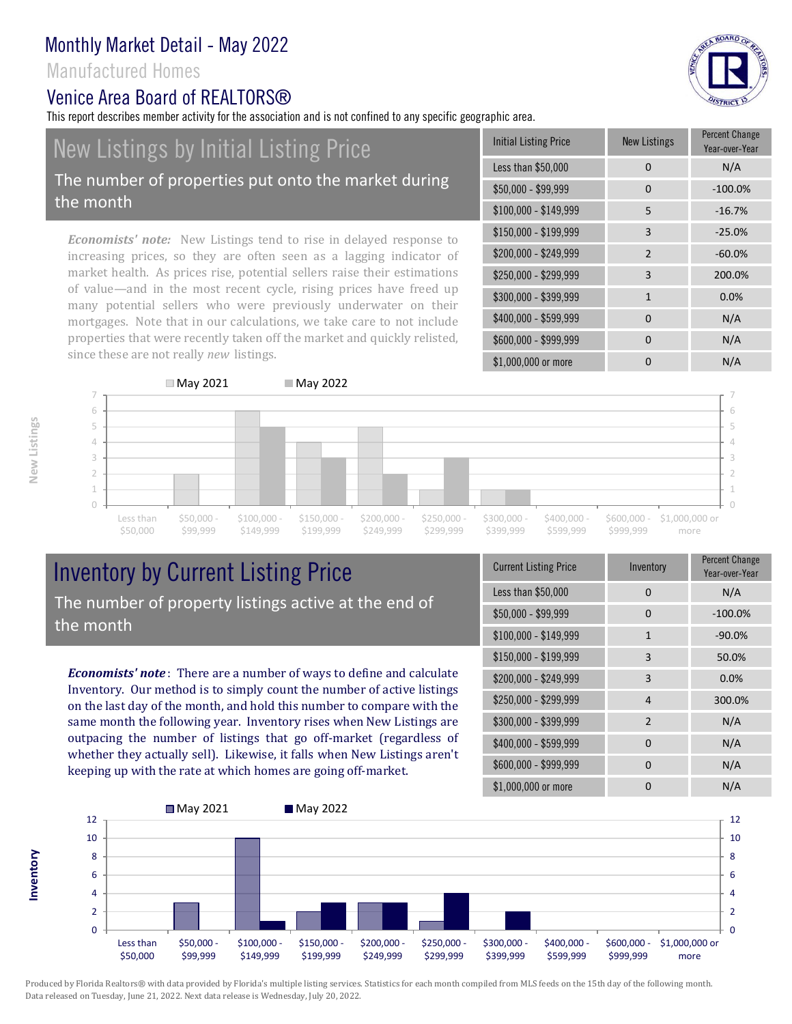#### Manufactured Homes

the month

#### Venice Area Board of RFAI TORS®

New Listings by Initial Listing Price

since these are not really *new* listings.

This report describes member activity for the association and is not confined to any specific geographic area.

#### Initial Listing Price New Listings Percent Change Year-over-Year Less than \$50,000 0 0 N/A \$50,000 - \$99,999 0 -100.0% \$100,000 - \$149,999 5 -16.7% properties that were recently taken off the market and quickly relisted, \$150,000 - \$199,999 3 -25.0% \$200,000 - \$249,999 2 -60.0% \$250,000 - \$299,999 3 200.0% \$300,000 - \$399,999 1 0.0%  $$400,000 - $599,999$  0 N/A \$600,000 - \$999,999 0 0 N/A The number of properties put onto the market during

\$1,000,000 or more 0 0 N/A

*Economists' note:* New Listings tend to rise in delayed response to increasing prices, so they are often seen as a lagging indicator of market health. As prices rise, potential sellers raise their estimations of value—and in the most recent cycle, rising prices have freed up many potential sellers who were previously underwater on their mortgages. Note that in our calculations, we take care to not include



# Inventory by Current Listing Price The number of property listings active at the end of the month

*Economists' note* : There are a number of ways to define and calculate Inventory. Our method is to simply count the number of active listings on the last day of the month, and hold this number to compare with the same month the following year. Inventory rises when New Listings are outpacing the number of listings that go off-market (regardless of whether they actually sell). Likewise, it falls when New Listings aren't keeping up with the rate at which homes are going off-market.

| <b>Current Listing Price</b> | Inventory    | Percent Change<br>Year-over-Year |
|------------------------------|--------------|----------------------------------|
| Less than \$50,000           | 0            | N/A                              |
| $$50,000 - $99,999$          | 0            | $-100.0%$                        |
| $$100,000 - $149,999$        | $\mathbf{1}$ | $-90.0%$                         |
| $$150,000 - $199,999$        | 3            | 50.0%                            |
| \$200,000 - \$249,999        | 3            | 0.0%                             |
| \$250,000 - \$299,999        | 4            | 300.0%                           |
| \$300,000 - \$399,999        | 2            | N/A                              |
| \$400,000 - \$599,999        | $\Omega$     | N/A                              |
| \$600,000 - \$999,999        | $\Omega$     | N/A                              |
| \$1,000,000 or more          |              | N/A                              |



Produced by Florida Realtors® with data provided by Florida's multiple listing services. Statistics for each month compiled from MLS feeds on the 15th day of the following month. Data released on Tuesday, June 21, 2022. Next data release is Wednesday, July 20, 2022.

**Inventory**

& BOARD OF